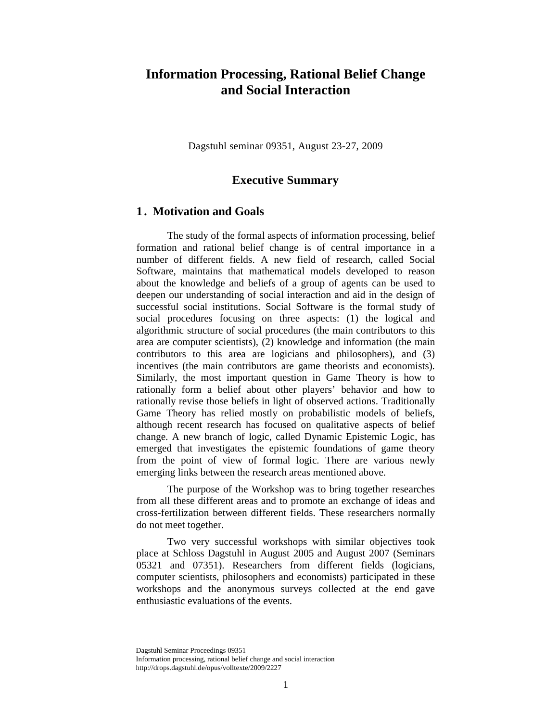# **Information Processing, Rational Belief Change and Social Interaction**

Dagstuhl seminar 09351, August 23-27, 2009

# **Executive Summary**

#### **1 . Motivation and Goals**

The study of the formal aspects of information processing, belief formation and rational belief change is of central importance in a number of different fields. A new field of research, called Social Software, maintains that mathematical models developed to reason about the knowledge and beliefs of a group of agents can be used to deepen our understanding of social interaction and aid in the design of successful social institutions. Social Software is the formal study of social procedures focusing on three aspects: (1) the logical and algorithmic structure of social procedures (the main contributors to this area are computer scientists), (2) knowledge and information (the main contributors to this area are logicians and philosophers), and (3) incentives (the main contributors are game theorists and economists). Similarly, the most important question in Game Theory is how to rationally form a belief about other players' behavior and how to rationally revise those beliefs in light of observed actions. Traditionally Game Theory has relied mostly on probabilistic models of beliefs, although recent research has focused on qualitative aspects of belief change. A new branch of logic, called Dynamic Epistemic Logic, has emerged that investigates the epistemic foundations of game theory from the point of view of formal logic. There are various newly emerging links between the research areas mentioned above.

The purpose of the Workshop was to bring together researches from all these different areas and to promote an exchange of ideas and cross-fertilization between different fields. These researchers normally do not meet together.

Two very successful workshops with similar objectives took place at Schloss Dagstuhl in August 2005 and August 2007 (Seminars 05321 and 07351). Researchers from different fields (logicians, computer scientists, philosophers and economists) participated in these workshops and the anonymous surveys collected at the end gave enthusiastic evaluations of the events.

Dagstuhl Seminar Proceedings 09351 Information processing, rational belief change and social interaction http://drops.dagstuhl.de/opus/volltexte/2009/2227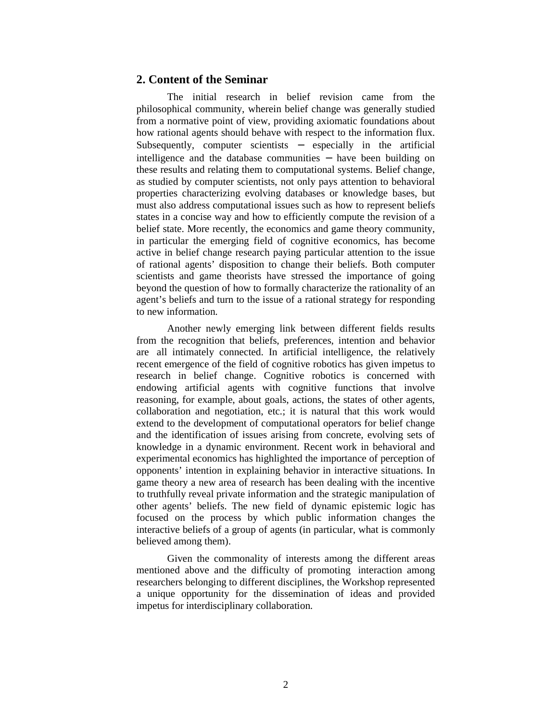### **2. Content of the Seminar**

The initial research in belief revision came from the philosophical community, wherein belief change was generally studied from a normative point of view, providing axiomatic foundations about how rational agents should behave with respect to the information flux. Subsequently, computer scientists − especially in the artificial intelligence and the database communities − have been building on these results and relating them to computational systems. Belief change, as studied by computer scientists, not only pays attention to behavioral properties characterizing evolving databases or knowledge bases, but must also address computational issues such as how to represent beliefs states in a concise way and how to efficiently compute the revision of a belief state. More recently, the economics and game theory community, in particular the emerging field of cognitive economics, has become active in belief change research paying particular attention to the issue of rational agents' disposition to change their beliefs. Both computer scientists and game theorists have stressed the importance of going beyond the question of how to formally characterize the rationality of an agent's beliefs and turn to the issue of a rational strategy for responding to new information.

Another newly emerging link between different fields results from the recognition that beliefs, preferences, intention and behavior are all intimately connected. In artificial intelligence, the relatively recent emergence of the field of cognitive robotics has given impetus to research in belief change. Cognitive robotics is concerned with endowing artificial agents with cognitive functions that involve reasoning, for example, about goals, actions, the states of other agents, collaboration and negotiation, etc.; it is natural that this work would extend to the development of computational operators for belief change and the identification of issues arising from concrete, evolving sets of knowledge in a dynamic environment. Recent work in behavioral and experimental economics has highlighted the importance of perception of opponents' intention in explaining behavior in interactive situations. In game theory a new area of research has been dealing with the incentive to truthfully reveal private information and the strategic manipulation of other agents' beliefs. The new field of dynamic epistemic logic has focused on the process by which public information changes the interactive beliefs of a group of agents (in particular, what is commonly believed among them).

Given the commonality of interests among the different areas mentioned above and the difficulty of promoting interaction among researchers belonging to different disciplines, the Workshop represented a unique opportunity for the dissemination of ideas and provided impetus for interdisciplinary collaboration.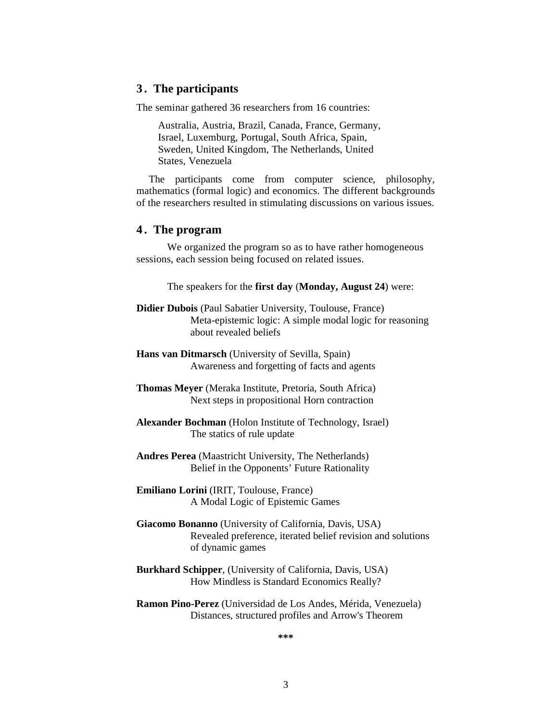### **3 . The participants**

The seminar gathered 36 researchers from 16 countries:

Australia, Austria, Brazil, Canada, France, Germany, Israel, Luxemburg, Portugal, South Africa, Spain, Sweden, United Kingdom, The Netherlands, United States, Venezuela

The participants come from computer science, philosophy, mathematics (formal logic) and economics. The different backgrounds of the researchers resulted in stimulating discussions on various issues.

# **4 . The program**

We organized the program so as to have rather homogeneous sessions, each session being focused on related issues.

The speakers for the **first day** (**Monday, August 24**) were:

**Didier Dubois** (Paul Sabatier University, Toulouse, France) Meta-epistemic logic: A simple modal logic for reasoning about revealed beliefs

**Hans van Ditmarsch** (University of Sevilla, Spain) Awareness and forgetting of facts and agents

- **Thomas Meyer** (Meraka Institute, Pretoria, South Africa) Next steps in propositional Horn contraction
- **Alexander Bochman** (Holon Institute of Technology, Israel) The statics of rule update
- **Andres Perea** (Maastricht University, The Netherlands) Belief in the Opponents' Future Rationality
- **Emiliano Lorini** (IRIT, Toulouse, France) A Modal Logic of Epistemic Games
- **Giacomo Bonanno** (University of California, Davis, USA) Revealed preference, iterated belief revision and solutions of dynamic games
- **Burkhard Schipper**, (University of California, Davis, USA) How Mindless is Standard Economics Really?
- **Ramon Pino-Perez** (Universidad de Los Andes, Mérida, Venezuela) Distances, structured profiles and Arrow's Theorem

**\*\*\***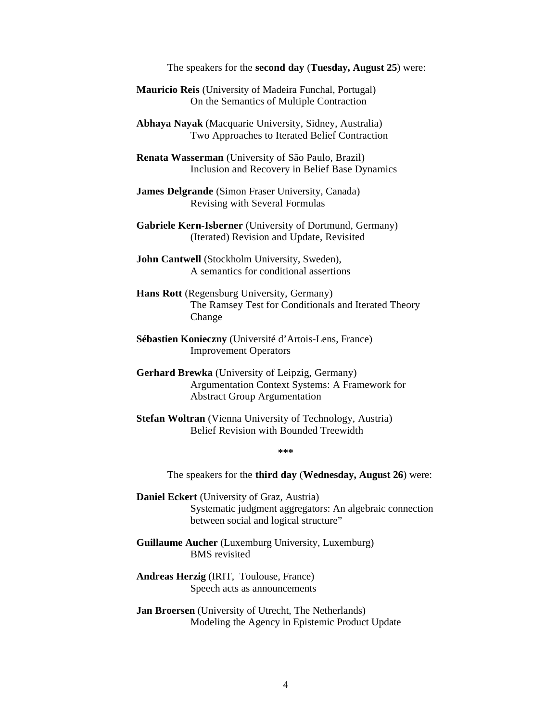#### The speakers for the **second day** (**Tuesday, August 25**) were:

**Mauricio Reis** (University of Madeira Funchal, Portugal) On the Semantics of Multiple Contraction

**Abhaya Nayak** (Macquarie University, Sidney, Australia) Two Approaches to Iterated Belief Contraction

**Renata Wasserman** (University of São Paulo, Brazil) Inclusion and Recovery in Belief Base Dynamics

**James Delgrande** (Simon Fraser University, Canada) Revising with Several Formulas

**Gabriele Kern-Isberner** (University of Dortmund, Germany) (Iterated) Revision and Update, Revisited

**John Cantwell** (Stockholm University, Sweden), A semantics for conditional assertions

**Hans Rott** (Regensburg University, Germany) The Ramsey Test for Conditionals and Iterated Theory Change

**Sébastien Konieczny** (Université d'Artois-Lens, France) Improvement Operators

**Gerhard Brewka** (University of Leipzig, Germany) Argumentation Context Systems: A Framework for Abstract Group Argumentation

**Stefan Woltran** (Vienna University of Technology, Austria) Belief Revision with Bounded Treewidth

**\*\*\***

The speakers for the **third day** (**Wednesday, August 26**) were:

- **Daniel Eckert** (University of Graz, Austria) Systematic judgment aggregators: An algebraic connection between social and logical structure"
- **Guillaume Aucher** (Luxemburg University, Luxemburg) BMS revisited

**Andreas Herzig** (IRIT, Toulouse, France) Speech acts as announcements

**Jan Broersen** (University of Utrecht, The Netherlands) Modeling the Agency in Epistemic Product Update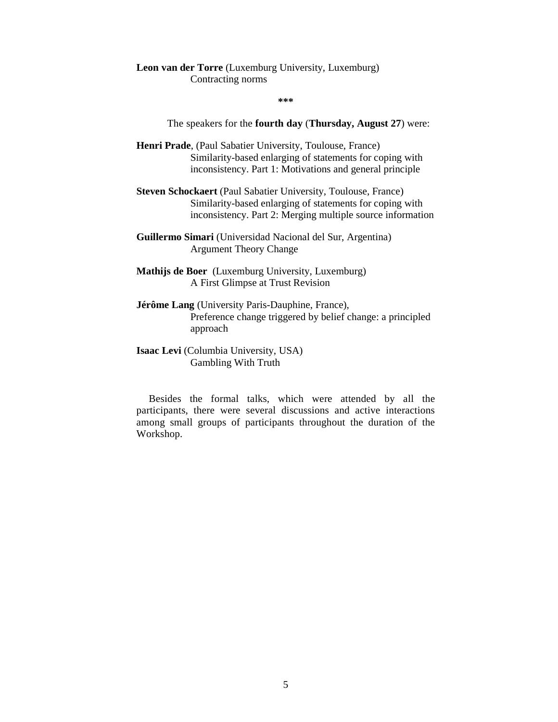#### **Leon van der Torre** (Luxemburg University, Luxemburg) Contracting norms

**\*\*\***

The speakers for the **fourth day** (**Thursday, August 27**) were:

- **Henri Prade**, (Paul Sabatier University, Toulouse, France) Similarity-based enlarging of statements for coping with inconsistency. Part 1: Motivations and general principle
- **Steven Schockaert** (Paul Sabatier University, Toulouse, France) Similarity-based enlarging of statements for coping with inconsistency. Part 2: Merging multiple source information
- **Guillermo Simari** (Universidad Nacional del Sur, Argentina) Argument Theory Change
- **Mathijs de Boer** (Luxemburg University, Luxemburg) A First Glimpse at Trust Revision
- **Jérôme Lang** (University Paris-Dauphine, France), Preference change triggered by belief change: a principled approach
- **Isaac Levi** (Columbia University, USA) Gambling With Truth

Besides the formal talks, which were attended by all the participants, there were several discussions and active interactions among small groups of participants throughout the duration of the Workshop.